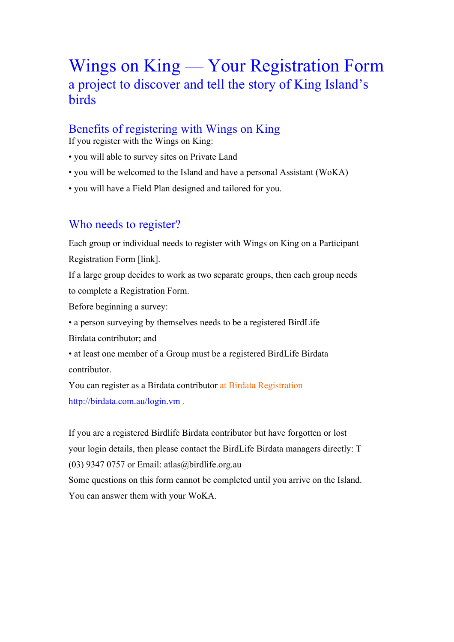# Wings on King — Your Registration Form a project to discover and tell the story of King Island's birds

# Benefits of registering with Wings on King

If you register with the Wings on King:

- you will able to survey sites on Private Land
- you will be welcomed to the Island and have a personal Assistant (WoKA)
- you will have a Field Plan designed and tailored for you.

# Who needs to register?

Each group or individual needs to register with Wings on King on a Participant Registration Form [link].

If a large group decides to work as two separate groups, then each group needs to complete a Registration Form.

Before beginning a survey:

• a person surveying by themselves needs to be a registered BirdLife Birdata contributor; and

• at least one member of a Group must be a registered BirdLife Birdata contributor.

You can register as a Birdata contributor at Birdata Registration http://birdata.com.au/login.vm .

If you are a registered Birdlife Birdata contributor but have forgotten or lost your login details, then please contact the BirdLife Birdata managers directly: T (03) 9347 0757 or Email: atlas@birdlife.org.au Some questions on this form cannot be completed until you arrive on the Island. You can answer them with your WoKA.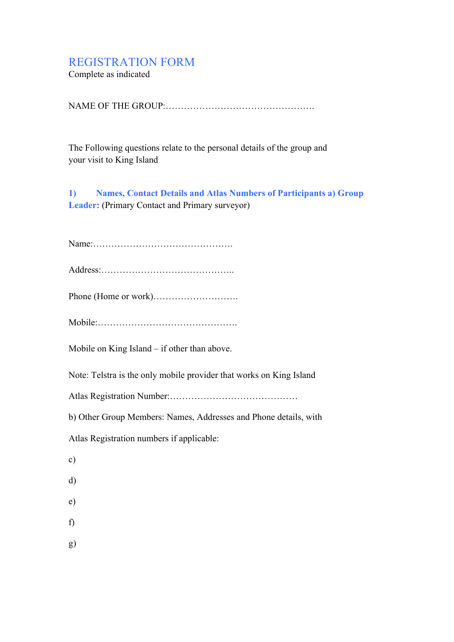# REGISTRATION FORM

Complete as indicated

NAME OF THE GROUP<sup>.</sup>

The Following questions relate to the personal details of the group and your visit to King Island

**1) Names, Contact Details and Atlas Numbers of Participants a) Group Leader:** (Primary Contact and Primary surveyor)

Name:……………………………………….

Address:……………………………………..

Phone (Home or work)……………………….

Mobile:……………………………………….

Mobile on King Island – if other than above.

Note: Telstra is the only mobile provider that works on King Island

Atlas Registration Number:……………………………………

b) Other Group Members: Names, Addresses and Phone details, with

Atlas Registration numbers if applicable:

- c)
- d)
- e)
- f)
- g)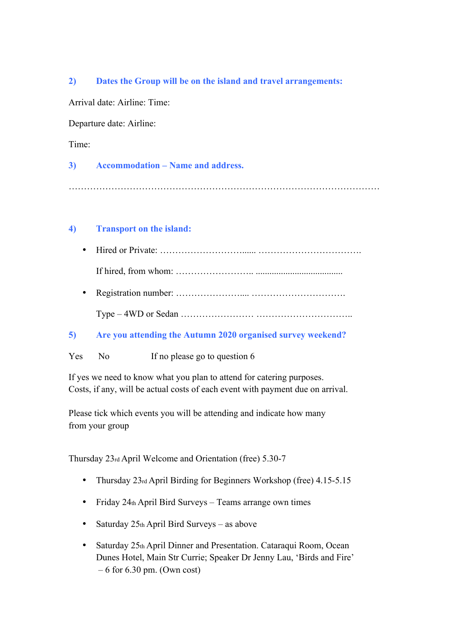#### **2) Dates the Group will be on the island and travel arrangements:**

Arrival date: Airline: Time:

Departure date: Airline:

Time:

#### **3) Accommodation – Name and address.**

…………………………………………………………………………………………

#### **4) Transport on the island:**

• Hired or Private: ………………………...... …………………………….

If hired, from whom: …………………….. ......................................

- Registration number: ………………….... ………………………….
	- Type 4WD or Sedan …………………… …………………………..

#### **5) Are you attending the Autumn 2020 organised survey weekend?**

Yes No If no please go to question 6

If yes we need to know what you plan to attend for catering purposes. Costs, if any, will be actual costs of each event with payment due on arrival.

Please tick which events you will be attending and indicate how many from your group

Thursday 23rd April Welcome and Orientation (free) 5.30-7

- Thursday 23rd April Birding for Beginners Workshop (free) 4.15-5.15
- Friday 24th April Bird Surveys Teams arrange own times
- Saturday  $25th$  April Bird Surveys as above
- Saturday 25th April Dinner and Presentation. Cataraqui Room, Ocean Dunes Hotel, Main Str Currie; Speaker Dr Jenny Lau, 'Birds and Fire'  $-6$  for 6.30 pm. (Own cost)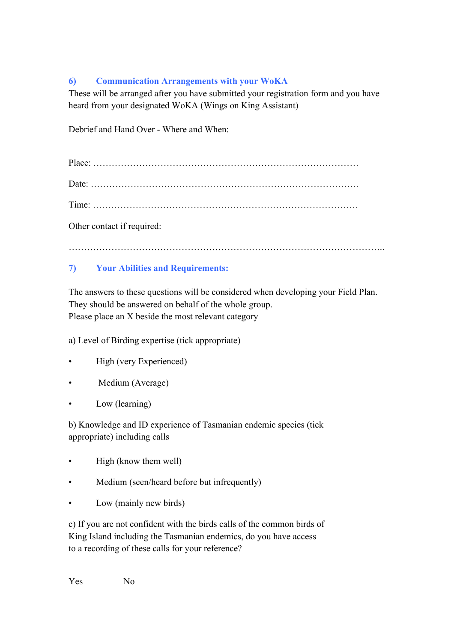## **6) Communication Arrangements with your WoKA**

These will be arranged after you have submitted your registration form and you have heard from your designated WoKA (Wings on King Assistant)

Debrief and Hand Over - Where and When:

Other contact if required:

…………………………………………………………………………………………..

## **7) Your Abilities and Requirements:**

The answers to these questions will be considered when developing your Field Plan. They should be answered on behalf of the whole group. Please place an X beside the most relevant category

a) Level of Birding expertise (tick appropriate)

- High (very Experienced)
- Medium (Average)
- Low (learning)

b) Knowledge and ID experience of Tasmanian endemic species (tick appropriate) including calls

- High (know them well)
- Medium (seen/heard before but infrequently)
- Low (mainly new birds)

c) If you are not confident with the birds calls of the common birds of King Island including the Tasmanian endemics, do you have access to a recording of these calls for your reference?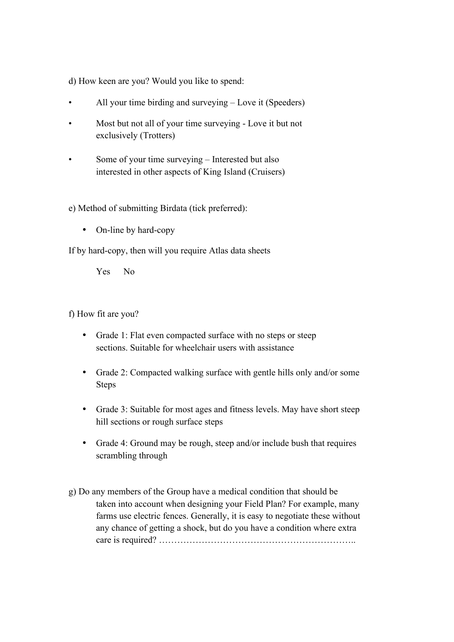d) How keen are you? Would you like to spend:

- All your time birding and surveying Love it (Speeders)
- Most but not all of your time surveying Love it but not exclusively (Trotters)
- Some of your time surveying Interested but also interested in other aspects of King Island (Cruisers)

#### e) Method of submitting Birdata (tick preferred):

• On-line by hard-copy

If by hard-copy, then will you require Atlas data sheets

Yes No

f) How fit are you?

- Grade 1: Flat even compacted surface with no steps or steep sections. Suitable for wheelchair users with assistance
- Grade 2: Compacted walking surface with gentle hills only and/or some Steps
- Grade 3: Suitable for most ages and fitness levels. May have short steep hill sections or rough surface steps
- Grade 4: Ground may be rough, steep and/or include bush that requires scrambling through
- g) Do any members of the Group have a medical condition that should be taken into account when designing your Field Plan? For example, many farms use electric fences. Generally, it is easy to negotiate these without any chance of getting a shock, but do you have a condition where extra care is required? ………………………………………………………..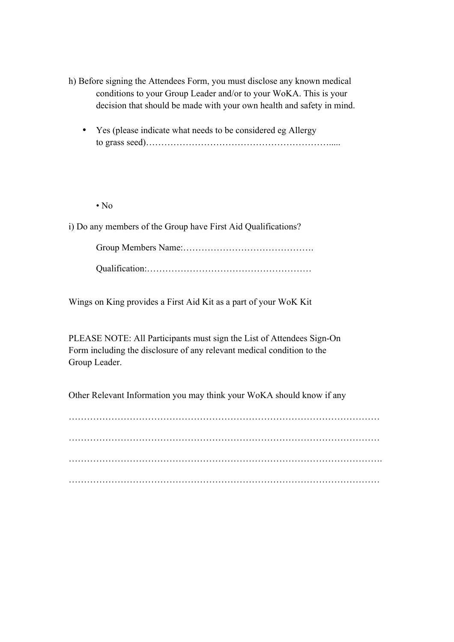- h) Before signing the Attendees Form, you must disclose any known medical conditions to your Group Leader and/or to your WoKA. This is your decision that should be made with your own health and safety in mind.
	- Yes (please indicate what needs to be considered eg Allergy to grass seed)…………………………………………………….....

• No

i) Do any members of the Group have First Aid Qualifications?

Group Members Name:……………………………………. Qualification:………………………………………………

Wings on King provides a First Aid Kit as a part of your WoK Kit

PLEASE NOTE: All Participants must sign the List of Attendees Sign-On Form including the disclosure of any relevant medical condition to the Group Leader.

Other Relevant Information you may think your WoKA should know if any

………………………………………………………………………………………… …………………………………………………………………………………………. …………………………………………………………………………………………